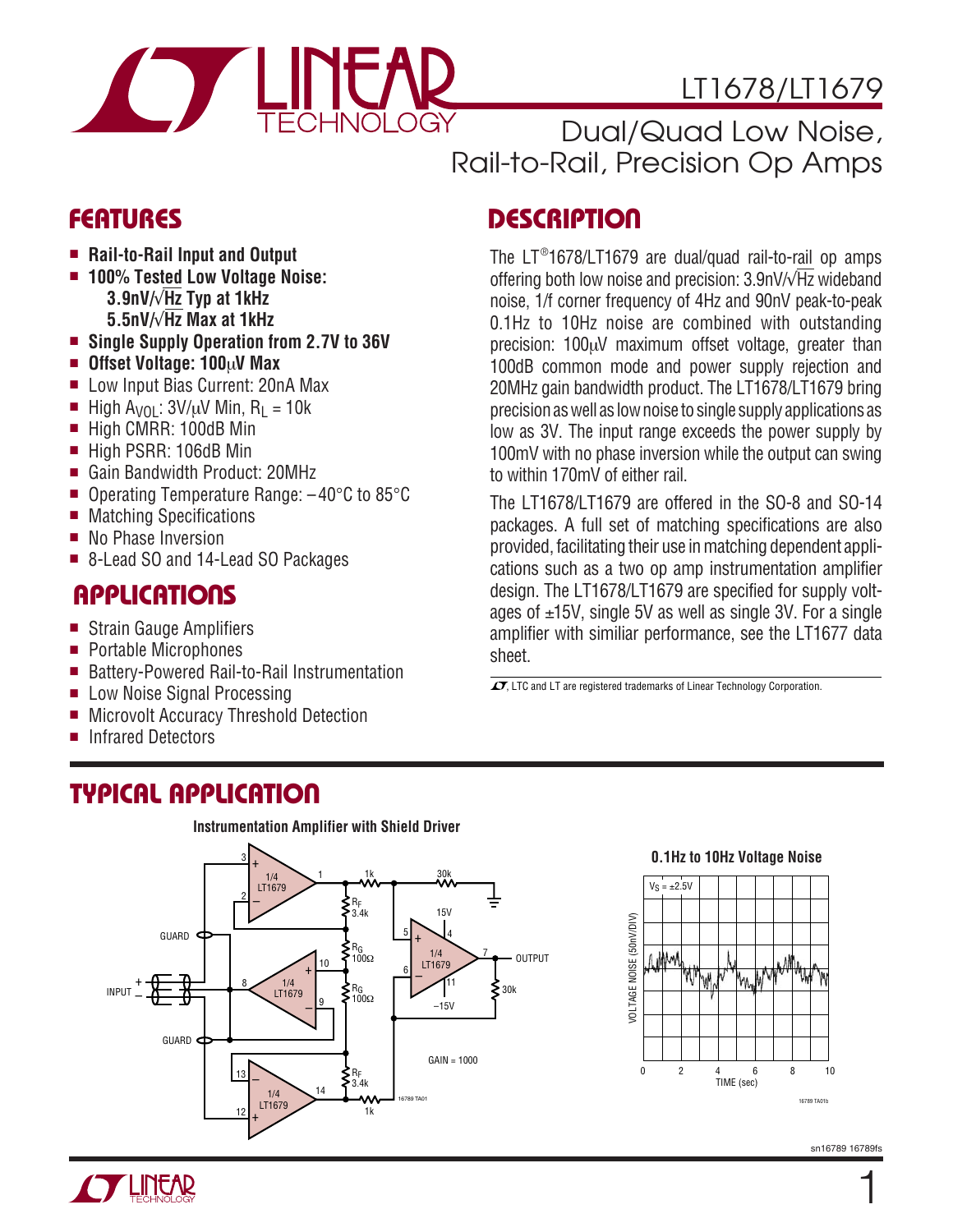

# LT1678/LT1679

Dual/Quad Low Noise, Rail-to-Rail, Precision Op Amps

# **FEATURES**

- **Rail-to-Rail Input and Output**
- **100% Tested Low Voltage Noise: 3.9nV/**√**Hz Typ at 1kHz 5.5nV/**√**Hz Max at 1kHz**
- **Single Supply Operation from 2.7V to 36V**
- **Offset Voltage: 100**µ**V Max**
- Low Input Bias Current: 20nA Max
- High A<sub>VOL</sub>:  $3V/\mu V$  Min, R<sub>L</sub> = 10k
- High CMRR: 100dB Min
- High PSRR: 106dB Min
- Gain Bandwidth Product: 20MHz
- Operating Temperature Range:  $-40^{\circ}$ C to 85 $^{\circ}$ C
- Matching Specifications
- No Phase Inversion
- 8-Lead SO and 14-Lead SO Packages

# **APPLICATIONS**

- Strain Gauge Amplifiers
- Portable Microphones
- Battery-Powered Rail-to-Rail Instrumentation
- Low Noise Signal Processing
- Microvolt Accuracy Threshold Detection
- Infrared Detectors

# noise, 1/f corner frequency of 4Hz and 90nV peak-to-peak

**DESCRIPTION** 

0.1Hz to 10Hz noise are combined with outstanding precision: 100µV maximum offset voltage, greater than 100dB common mode and power supply rejection and 20MHz gain bandwidth product. The LT1678/LT1679 bring precision as well as low noise to single supply applications as low as 3V. The input range exceeds the power supply by 100mV with no phase inversion while the output can swing to within 170mV of either rail.

The LT® 1678/LT1679 are dual/quad rail-to-rail op amps offering both low noise and precision: 3.9nV/√Hz wideband

The LT1678/LT1679 are offered in the SO-8 and SO-14 packages. A full set of matching specifications are also provided, facilitating their use in matching dependent applications such as a two op amp instrumentation amplifier design. The LT1678/LT1679 are specified for supply voltages of ±15V, single 5V as well as single 3V. For a single amplifier with similiar performance, see the LT1677 data sheet.

 $\overline{\mathcal{I}}$ , LTC and LT are registered trademarks of Linear Technology Corporation.

## **TYPICAL APPLICATION**



#### **0.1Hz to 10Hz Voltage Noise**

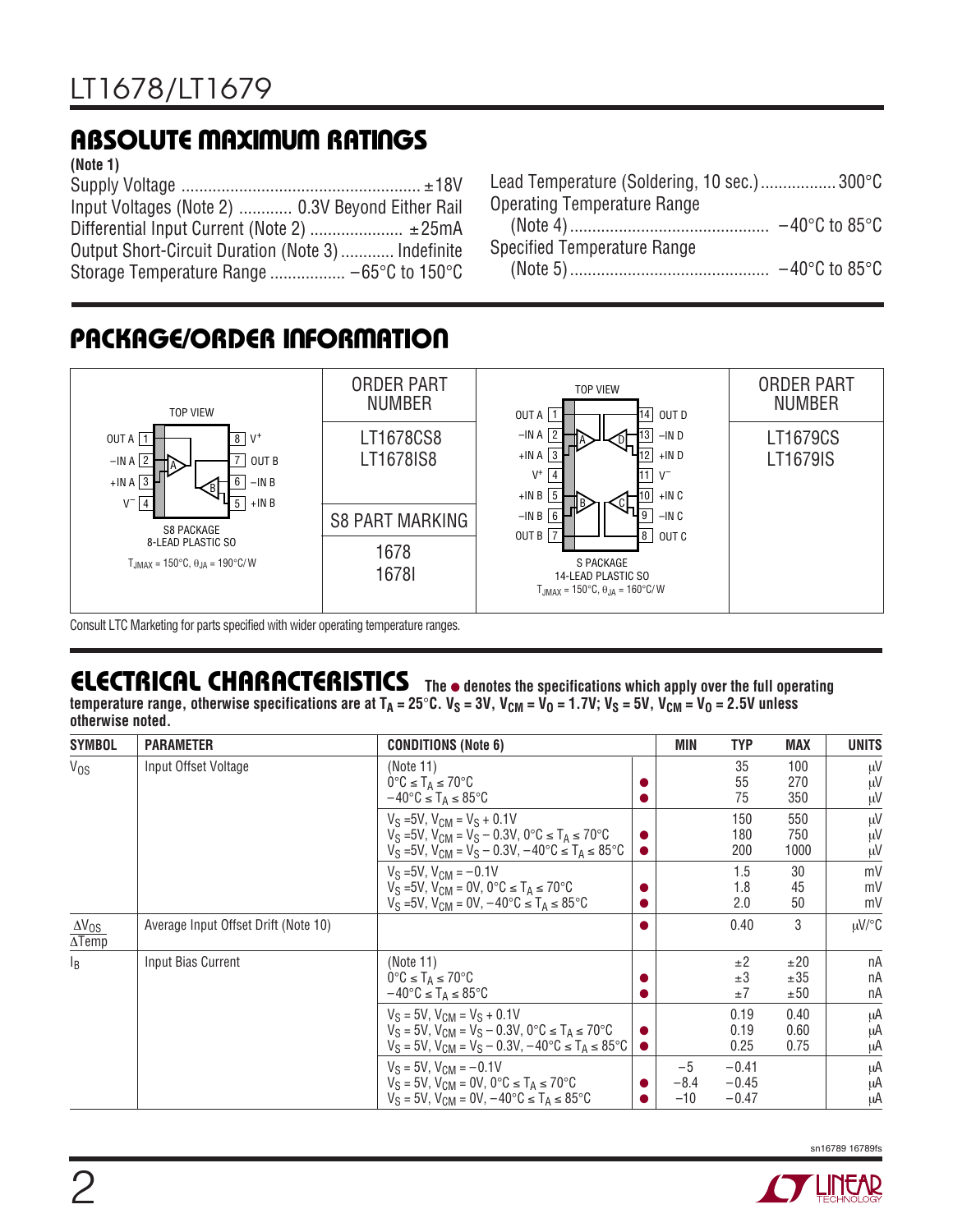# **ABSOLUTE MAXIMUM RATINGS**

#### **(Note 1)**

Supply Voltage ...................................................... ±18V Input Voltages (Note 2) ............ 0.3V Beyond Either Rail Differential Input Current (Note 2) ...................... ± 25mA Output Short-Circuit Duration (Note 3) ............ Indefinite Storage Temperature Range ................. –65°C to 150°C

# **PACKAGE/ORDER INFORMATION**



Consult LTC Marketing for parts specified with wider operating temperature ranges.

# **ELECTRICAL CHARACTERISTICS** The  $\bullet$  denotes the specifications which apply over the full operating

temperature range, otherwise specifications are at  $T_A = 25^\circ \text{C}$ .  $V_S = 3V$ ,  $V_{CM} = V_0 = 1.7V$ ;  $V_S = 5V$ ,  $V_{CM} = V_0 = 2.5V$  unless **otherwise noted.**

| <b>SYMBOL</b>                                      | <b>PARAMETER</b>                     | <b>CONDITIONS (Note 6)</b>                                                                                                                                                                     | MIN                     | <b>TYP</b>                    | <b>MAX</b>           | <b>UNITS</b>   |
|----------------------------------------------------|--------------------------------------|------------------------------------------------------------------------------------------------------------------------------------------------------------------------------------------------|-------------------------|-------------------------------|----------------------|----------------|
| $V_{OS}$                                           | Input Offset Voltage                 | (Note 11)<br>$0^{\circ}C \leq T_A \leq 70^{\circ}C$<br>$-40^{\circ}$ C $\leq$ T <sub>A</sub> $\leq$ 85°C                                                                                       |                         | 35<br>55<br>75                | 100<br>270<br>350    | μV<br>μV<br>μV |
|                                                    |                                      | $V_S = 5V$ , $V_{CM} = V_S + 0.1V$<br>$V_S = 5V$ , $V_{CM} = V_S - 0.3V$ , $0^{\circ}C \le T_A \le 70^{\circ}C$<br>$V_S = 5V$ , $V_{CM} = V_S - 0.3V$ , $-40^{\circ}C \le T_A \le 85^{\circ}C$ |                         | 150<br>180<br>200             | 550<br>750<br>1000   | μV<br>μV<br>μV |
|                                                    |                                      | $V_S = 5V$ , $V_{CM} = -0.1V$<br>$V_S = 5V$ , $V_{CM} = 0V$ , $0^{\circ}C \le T_A \le 70^{\circ}C$<br>$V_S = 5V$ , $V_{CM} = 0V$ , $-40^{\circ}C \le T_A \le 85^{\circ}C$                      |                         | 1.5<br>1.8<br>2.0             | 30<br>45<br>50       | mV<br>mV<br>mV |
| $\Delta V_{OS}$<br>$\overline{\Delta \text{Temp}}$ | Average Input Offset Drift (Note 10) |                                                                                                                                                                                                |                         | 0.40                          | 3                    | $\mu$ V/°C     |
| $\mathsf{I}_{\mathsf{B}}$                          | Input Bias Current                   | (Note 11)<br>$0^{\circ}C \leq T_A \leq 70^{\circ}C$<br>$-40^{\circ}C \leq T_A \leq 85^{\circ}C$                                                                                                |                         | ±2<br>±3<br>$\pm 7$           | ±20<br>±35<br>±50    | nA<br>nA<br>пA |
|                                                    |                                      | $V_S = 5V$ , $V_{CM} = V_S + 0.1V$<br>$V_S = 5V$ , $V_{CM} = V_S - 0.3V$ , $0^{\circ}C \le T_A \le 70^{\circ}C$<br>$V_S = 5V$ , $V_{CM} = V_S - 0.3V$ , $-40^{\circ}C \le T_A \le 85^{\circ}C$ |                         | 0.19<br>0.19<br>0.25          | 0.40<br>0.60<br>0.75 | μA<br>μA<br>μA |
|                                                    |                                      | $V_S = 5V$ , $V_{CM} = -0.1V$<br>$V_S = 5V$ , $V_{CM} = 0V$ , $0^{\circ}C \leq T_A \leq 70^{\circ}C$<br>$V_S = 5V$ , $V_{CM} = 0V$ , $-40^{\circ}C \le T_A \le 85^{\circ}C$                    | $-5$<br>$-8.4$<br>$-10$ | $-0.41$<br>$-0.45$<br>$-0.47$ |                      | μA<br>μA<br>μA |

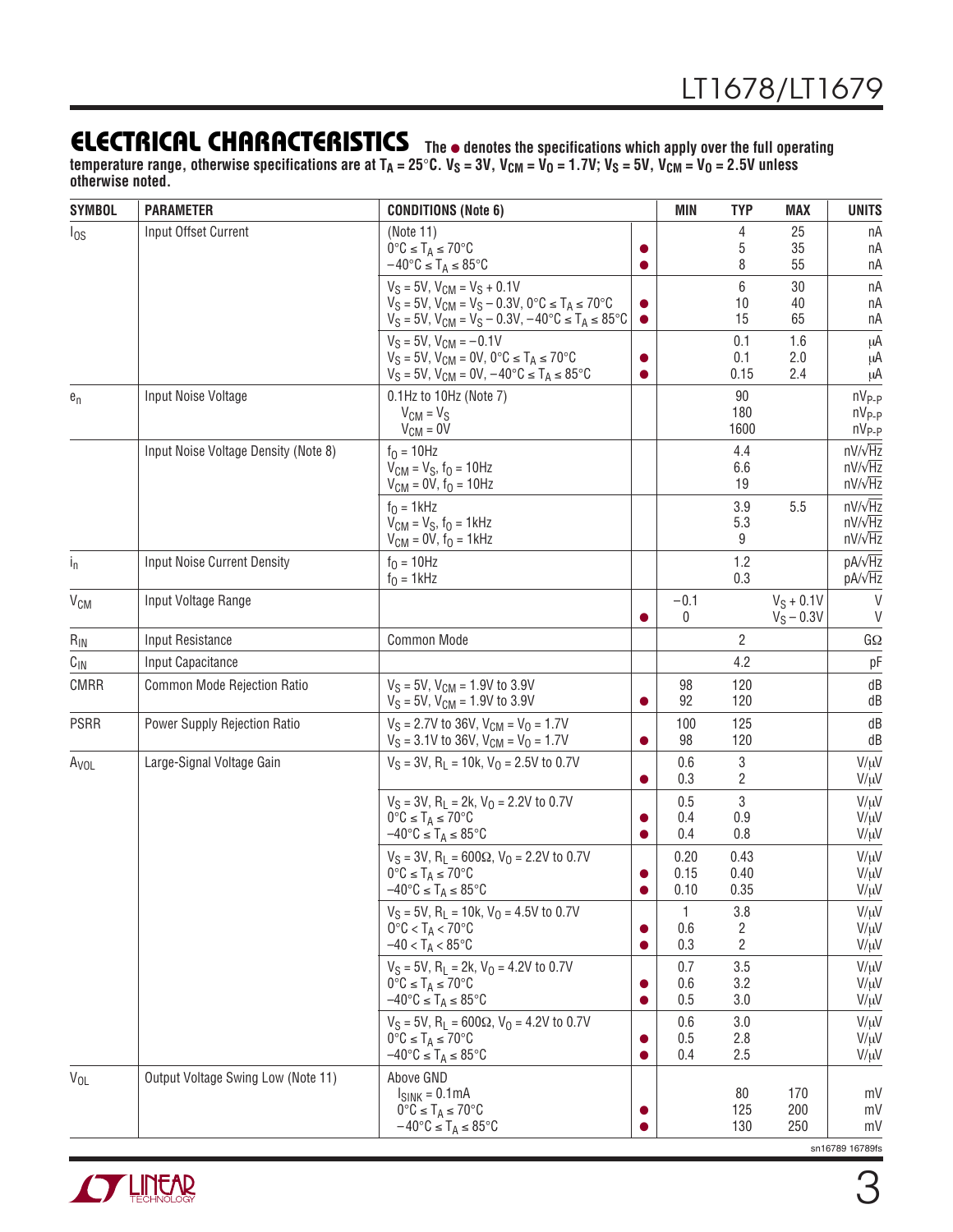**The** ● **denotes the specifications which apply over the full operating** temperature range, otherwise specifications are at T<sub>A</sub> = 25°C. V<sub>S</sub> = 3V, V<sub>CM</sub> = V<sub>O</sub> = 1.7V; V<sub>S</sub> = 5V, V<sub>CM</sub> = V<sub>O</sub> = 2.5V unless **otherwise noted.**

| <b>SYMBOL</b>         | <b>PARAMETER</b>                     | <b>CONDITIONS (Note 6)</b>                                                                                           |           | <b>MIN</b>   | <b>TYP</b>     | <b>MAX</b>   | <b>UNITS</b>                     |
|-----------------------|--------------------------------------|----------------------------------------------------------------------------------------------------------------------|-----------|--------------|----------------|--------------|----------------------------------|
| $I_{OS}$              | Input Offset Current                 | (Note 11)                                                                                                            |           |              | 4              | 25           | nA                               |
|                       |                                      | $0^{\circ}C \leq T_A \leq 70^{\circ}C$                                                                               |           |              | 5<br>8         | 35<br>55     | nA                               |
|                       |                                      | $-40^{\circ}$ C $\leq$ T <sub>A</sub> $\leq$ 85 $^{\circ}$ C<br>$V_S = 5V$ , $V_{CM} = V_S + 0.1V$                   |           |              | 6              | 30           | nA                               |
|                       |                                      | $V_S = 5V$ , $V_{CM} = V_S - 0.3V$ , $0^{\circ}C \le T_A \le 70^{\circ}C$                                            |           |              | 10             | 40           | nA<br>nA                         |
|                       |                                      | $V_S = 5V$ , $V_{CM} = V_S - 0.3V$ , $-40^{\circ}C \le T_A \le 85^{\circ}C$                                          | $\bullet$ |              | 15             | 65           | nA                               |
|                       |                                      | $V_S = 5V$ , $V_{CM} = -0.1V$                                                                                        |           |              | 0.1            | 1.6          | μA                               |
|                       |                                      | $V_S = 5V$ , $V_{CM} = 0V$ , $0^{\circ}C \le T_A \le 70^{\circ}C$                                                    |           |              | 0.1            | 2.0          | μA                               |
|                       |                                      | $V_S = 5V$ , $V_{CM} = 0V$ , $-40^{\circ}C \le T_A \le 85^{\circ}C$                                                  |           |              | 0.15           | 2.4          | μA                               |
| $e_n$                 | Input Noise Voltage                  | 0.1Hz to 10Hz (Note 7)<br>$V_{CM} = V_S$                                                                             |           |              | 90<br>180      |              | $nV_{P-P}$<br>$nV_{P-P}$         |
|                       |                                      | $V_{CM} = 0V$                                                                                                        |           |              | 1600           |              | $nV_{P-P}$                       |
|                       | Input Noise Voltage Density (Note 8) | $f_0 = 10$ Hz                                                                                                        |           |              | 4.4            |              | $nV/\sqrt{Hz}$                   |
|                       |                                      | $V_{CM} = V_S$ , $f_0 = 10Hz$                                                                                        |           |              | 6.6            |              | $nV/\sqrt{Hz}$                   |
|                       |                                      | $V_{CM} = 0V$ , $f_0 = 10Hz$                                                                                         |           |              | 19             |              | $nV/\sqrt{Hz}$                   |
|                       |                                      | $f0 = 1$ kHz                                                                                                         |           |              | 3.9            | 5.5          | $nV/\sqrt{Hz}$                   |
|                       |                                      | $V_{CM} = V_S$ , $f_0 = 1$ kHz<br>$V_{CM} = 0V$ , $f_0 = 1kHz$                                                       |           |              | 5.3<br>9       |              | $nV/\sqrt{Hz}$<br>$nV/\sqrt{Hz}$ |
|                       | Input Noise Current Density          | $f_0 = 10$ Hz                                                                                                        |           |              | 1.2            |              | $pA/\sqrt{Hz}$                   |
| $I_{n}$               |                                      | $f0 = 1$ kHz                                                                                                         |           |              | 0.3            |              | pA/ $\sqrt{Hz}$                  |
| <b>V<sub>CM</sub></b> | Input Voltage Range                  |                                                                                                                      |           | $-0.1$       |                | $V_S + 0.1V$ | $\vee$                           |
|                       |                                      |                                                                                                                      |           | 0            |                | $V_S - 0.3V$ | $\vee$                           |
| $R_{IN}$              | Input Resistance                     | Common Mode                                                                                                          |           |              | $\overline{2}$ |              | GΩ                               |
| $C_{\text{IN}}$       | Input Capacitance                    |                                                                                                                      |           |              | 4.2            |              | pF                               |
| <b>CMRR</b>           | Common Mode Rejection Ratio          | $V_S = 5V$ , $V_{CM} = 1.9V$ to 3.9V                                                                                 |           | 98           | 120            |              | dB                               |
|                       |                                      | $V_S = 5V$ , $V_{CM} = 1.9V$ to 3.9V                                                                                 |           | 92           | 120            |              | dB                               |
| <b>PSRR</b>           | Power Supply Rejection Ratio         | $V_S = 2.7V$ to 36V, $V_{CM} = V_0 = 1.7V$                                                                           |           | 100<br>98    | 125            |              | dB                               |
|                       |                                      | $V_S = 3.1V$ to 36V, $V_{CM} = V_0 = 1.7V$                                                                           |           |              | 120            |              | dB                               |
| A <sub>VOL</sub>      | Large-Signal Voltage Gain            | $V_S = 3V$ , R <sub>L</sub> = 10k, $V_0 = 2.5V$ to 0.7V                                                              |           | 0.6<br>0.3   | 3<br>2         |              | $V/\mu V$<br>$V/\mu V$           |
|                       |                                      | $V_S = 3V$ , R <sub>L</sub> = 2k, V <sub>O</sub> = 2.2V to 0.7V                                                      |           | 0.5          | 3              |              | $V/\mu V$                        |
|                       |                                      | $0^{\circ}C \leq T_A \leq 70^{\circ}C$                                                                               |           | 0.4          | 0.9            |              | $V/\mu V$                        |
|                       |                                      | $-40^{\circ}$ C $\leq$ T <sub>A</sub> $\leq$ 85 $^{\circ}$ C                                                         |           | 0.4          | 0.8            |              | $V/\mu V$                        |
|                       |                                      | $V_S = 3V$ , R <sub>L</sub> = 600 $\Omega$ , V <sub>0</sub> = 2.2V to 0.7V                                           |           | 0.20         | 0.43           |              | $V/\mu V$                        |
|                       |                                      | $0^{\circ}C \leq T_A \leq 70^{\circ}C$<br>$-40^{\circ}C \leq T_A \leq 85^{\circ}C$                                   |           | 0.15<br>0.10 | 0.40<br>0.35   |              | $V/\mu V$<br>$V/\mu V$           |
|                       |                                      | $V_S = 5V$ , R <sub>L</sub> = 10k, $V_0 = 4.5V$ to 0.7V                                                              |           | 1            | 3.8            |              | $V/\mu V$                        |
|                       |                                      | $0^{\circ}$ C < T <sub>A</sub> < 70 $^{\circ}$ C                                                                     |           | 0.6          | 2              |              | $V/\mu V$                        |
|                       |                                      | $-40 < T_A < 85^{\circ}$ C                                                                                           |           | 0.3          | $\overline{2}$ |              | $V/\mu V$                        |
|                       |                                      | $V_S = 5V$ , R <sub>1</sub> = 2k, $V_O = 4.2V$ to 0.7V                                                               |           | 0.7          | 3.5            |              | $V/\mu V$                        |
|                       |                                      | $0^{\circ}C \leq T_A \leq 70^{\circ}C$                                                                               |           | 0.6          | 3.2            |              | $V/\mu V$                        |
|                       |                                      | $-40^{\circ}C \leq T_A \leq 85^{\circ}C$                                                                             |           | 0.5          | 3.0            |              | $V/\mu V$                        |
|                       |                                      | $V_S = 5V$ , R <sub>L</sub> = 600 $\Omega$ , V <sub>0</sub> = 4.2V to 0.7V<br>$0^{\circ}C \leq T_A \leq 70^{\circ}C$ |           | 0.6<br>0.5   | 3.0<br>2.8     |              | $V/\mu V$<br>$V/\mu V$           |
|                       |                                      | $-40^{\circ}C \leq T_A \leq 85^{\circ}C$                                                                             |           | 0.4          | 2.5            |              | $V/\mu V$                        |
| $V_{OL}$              | Output Voltage Swing Low (Note 11)   | Above GND                                                                                                            |           |              |                |              |                                  |
|                       |                                      | $I_{SINK} = 0.1mA$                                                                                                   |           |              | 80             | 170          | mV                               |
|                       |                                      | $0^{\circ}C \leq T_A \leq 70^{\circ}C$<br>$-40^{\circ}C \leq T_A \leq 85^{\circ}C$                                   |           |              | 125<br>130     | 200<br>250   | mV<br>mV                         |
|                       |                                      |                                                                                                                      |           |              |                |              |                                  |

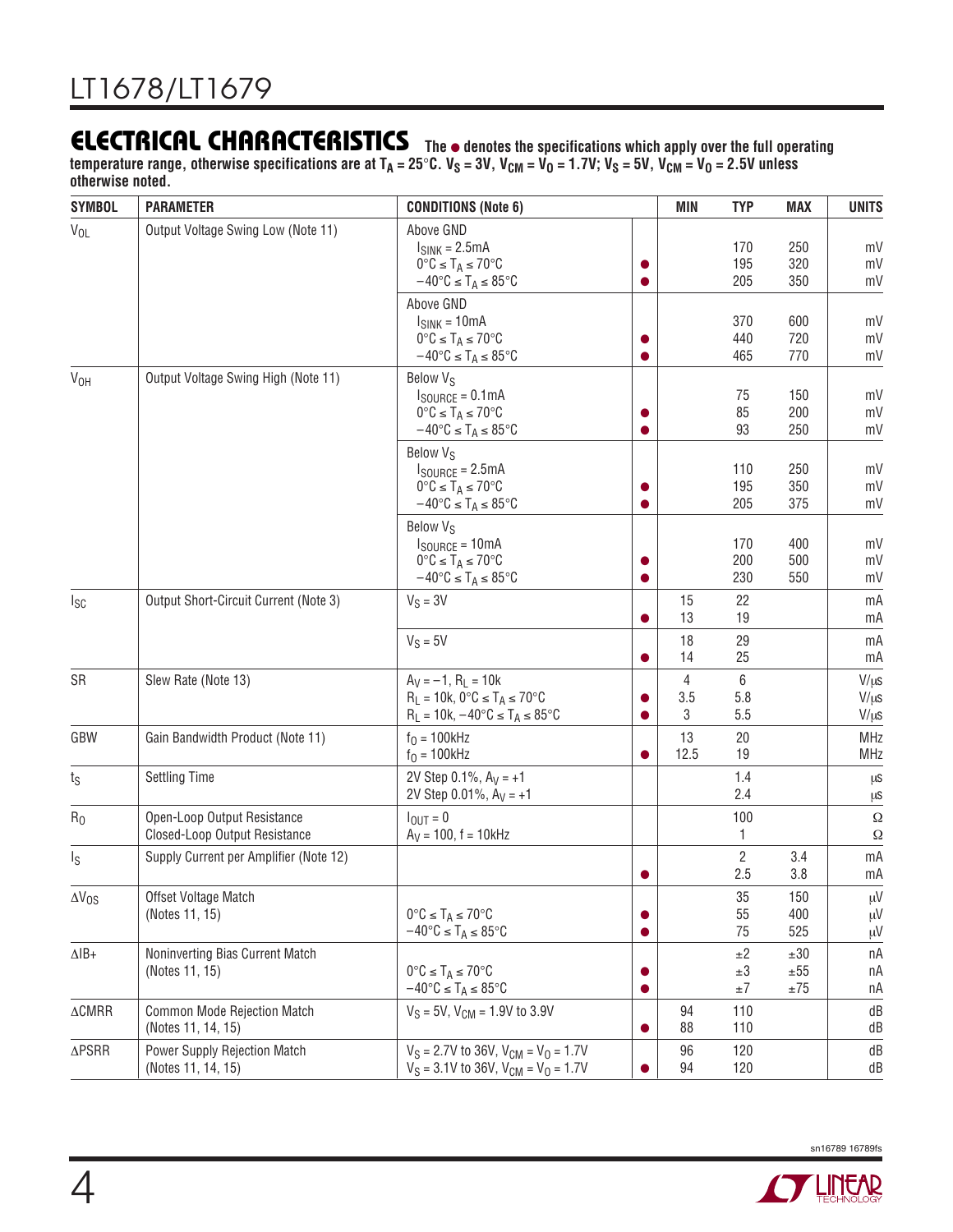**The** ● **denotes the specifications which apply over the full operating** temperature range, otherwise specifications are at T<sub>A</sub> = 25°C. V<sub>S</sub> = 3V, V<sub>CM</sub> = V<sub>O</sub> = 1.7V; V<sub>S</sub> = 5V, V<sub>CM</sub> = V<sub>O</sub> = 2.5V unless **otherwise noted.**

| <b>SYMBOL</b>          | <b>PARAMETER</b>                                             | <b>CONDITIONS (Note 6)</b>                                                                                                                        |   | MIN           | <b>TYP</b>               | <b>MAX</b>                  | <b>UNITS</b>                        |
|------------------------|--------------------------------------------------------------|---------------------------------------------------------------------------------------------------------------------------------------------------|---|---------------|--------------------------|-----------------------------|-------------------------------------|
| $V_{OL}$               | Output Voltage Swing Low (Note 11)                           | Above GND<br>$I_{SINK} = 2.5mA$<br>$0^{\circ}C \leq T_A \leq 70^{\circ}C$<br>$-40^{\circ}C \leq T_A \leq 85^{\circ}C$                             |   |               | 170<br>195<br>205        | 250<br>320<br>350           | mV<br>mV<br>mV                      |
|                        |                                                              | Above GND<br>$I_{SINK} = 10mA$<br>$0^{\circ}C \leq T_A \leq 70^{\circ}C$<br>$-40^{\circ}C \leq T_A \leq 85^{\circ}C$                              |   |               | 370<br>440<br>465        | 600<br>720<br>770           | mV<br>mV<br>mV                      |
| V <sub>OH</sub>        | Output Voltage Swing High (Note 11)                          | Below V <sub>S</sub><br>$I_{\text{SOURCE}} = 0.1 \text{mA}$<br>$0^{\circ}C \leq T_A \leq 70^{\circ}C$<br>$-40^{\circ}C \leq T_A \leq 85^{\circ}C$ |   |               | 75<br>85<br>93           | 150<br>200<br>250           | mV<br>mV<br>mV                      |
|                        |                                                              | Below V <sub>S</sub><br>$I_{\text{SOURCE}} = 2.5 \text{mA}$<br>$0^{\circ}C \leq T_A \leq 70^{\circ}C$<br>$-40^{\circ}C \leq T_A \leq 85^{\circ}C$ |   |               | 110<br>195<br>205        | 250<br>350<br>375           | mV<br>mV<br>mV                      |
|                        |                                                              | Below V <sub>S</sub><br>$I_{\text{SOURCE}} = 10 \text{mA}$<br>$0^{\circ}C \leq T_A \leq 70^{\circ}C$<br>$-40^{\circ}C \leq T_A \leq 85^{\circ}C$  |   |               | 170<br>200<br>230        | 400<br>500<br>550           | mV<br>mV<br>mV                      |
| $I_{SC}$               | Output Short-Circuit Current (Note 3)                        | $V_S = 3V$                                                                                                                                        |   | 15<br>13      | 22<br>19                 |                             | mA<br>mA                            |
|                        |                                                              | $V_S = 5V$                                                                                                                                        |   | 18<br>14      | 29<br>25                 |                             | mA<br>mA                            |
| SR                     | Slew Rate (Note 13)                                          | $A_V = -1$ , $R_L = 10k$<br>$R_L = 10k$ , 0°C $\leq T_A \leq 70$ °C<br>$R_L = 10k, -40^{\circ}C \leq T_A \leq 85^{\circ}C$                        |   | 4<br>3.5<br>3 | 6<br>5.8<br>5.5          |                             | $V/\mu s$<br>$V/\mu s$<br>$V/\mu s$ |
| GBW                    | Gain Bandwidth Product (Note 11)                             | $f_0 = 100$ kHz<br>$f_0 = 100$ kHz                                                                                                                |   | 13<br>12.5    | 20<br>19                 |                             | <b>MHz</b><br><b>MHz</b>            |
| $t_{\rm S}$            | <b>Settling Time</b>                                         | 2V Step 0.1%, $A_V = +1$<br>2V Step $0.01\%$ , $A_V = +1$                                                                                         |   |               | 1.4<br>2.4               |                             | μS<br>μS                            |
| R <sub>0</sub>         | Open-Loop Output Resistance<br>Closed-Loop Output Resistance | $I_{\text{OUT}} = 0$<br>$A_V = 100$ , $f = 10kHz$                                                                                                 |   |               | 100<br>1                 |                             | Ω<br>Ω                              |
| Is                     | Supply Current per Amplifier (Note 12)                       |                                                                                                                                                   |   |               | $\mathbf{2}$<br>2.5      | 3.4<br>3.8                  | mA<br>mA                            |
| $\Delta V_{OS}$        | Offset Voltage Match<br>(Notes 11, 15)                       | $0^{\circ}C \leq T_A \leq 70^{\circ}C$<br>$-40^{\circ}C \leq T_A \leq 85^{\circ}C$                                                                | 0 |               | 35<br>55<br>75           | 150<br>400<br>525           | $\mu V$<br>μV<br>μV                 |
| $\Delta$ IB+           | Noninverting Bias Current Match<br>(Notes 11, 15)            | $0^{\circ}C \leq T_A \leq 70^{\circ}C$<br>$-40^{\circ}C \leq T_A \leq 85^{\circ}C$                                                                | 0 |               | ±2<br>$\pm 3$<br>$\pm 7$ | ±30<br>$\pm 55$<br>$\pm 75$ | пA<br>nA<br>nA                      |
| $\Delta \textsf{CMRR}$ | <b>Common Mode Rejection Match</b><br>(Notes 11, 14, 15)     | $V_S = 5V$ , $V_{CM} = 1.9V$ to 3.9V                                                                                                              |   | 94<br>88      | 110<br>110               |                             | dB<br>dB                            |
| $\Delta \mathsf{PSRR}$ | <b>Power Supply Rejection Match</b><br>(Notes 11, 14, 15)    | $V_S = 2.7V$ to 36V, $V_{CM} = V_0 = 1.7V$<br>$V_S = 3.1V$ to 36V, $V_{CM} = V_0 = 1.7V$                                                          |   | 96<br>94      | 120<br>120               |                             | dB<br>dB                            |

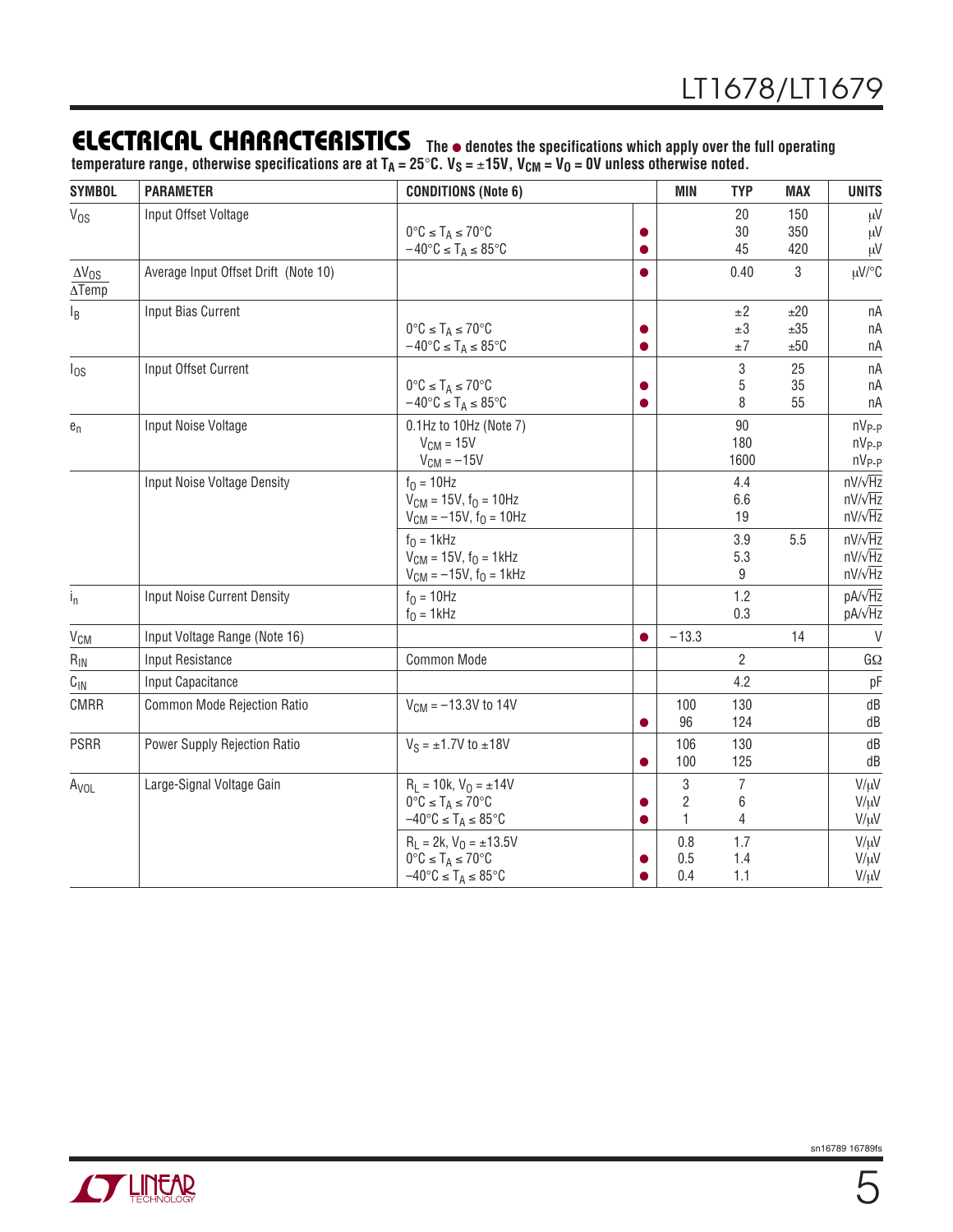## **ELECTRICAL CHARACTERISTICS The** ● **denotes the specifications which apply over the full operating**

**temperature range, otherwise specifications are at TA = 25**°**C. VS =** ±**15V, VCM = VO = 0V unless otherwise noted.**

| <b>SYMBOL</b>                               | <b>PARAMETER</b>                     | <b>CONDITIONS (Note 6)</b>                                   |           | <b>MIN</b>              | <b>TYP</b>     | <b>MAX</b> | <b>UNITS</b>      |
|---------------------------------------------|--------------------------------------|--------------------------------------------------------------|-----------|-------------------------|----------------|------------|-------------------|
| $V_{OS}$                                    | Input Offset Voltage                 |                                                              |           |                         | 20             | 150        | μV                |
|                                             |                                      | $0^{\circ}C \leq T_A \leq 70^{\circ}C$                       |           |                         | 30             | 350        | μV                |
|                                             |                                      | $-40^{\circ}$ C $\leq$ T <sub>A</sub> $\leq$ 85 $^{\circ}$ C |           |                         | 45             | 420        | μV                |
| $\Delta V_{OS}$<br>$\overline{\Delta Temp}$ | Average Input Offset Drift (Note 10) |                                                              |           |                         | 0.40           | 3          | µV/°C             |
| l <sub>B</sub>                              | Input Bias Current                   |                                                              |           |                         | ±2             | ±20        | nA                |
|                                             |                                      | $0^{\circ}C \leq T_A \leq 70^{\circ}C$                       |           |                         | $\pm 3$        | ±35        | nA                |
|                                             |                                      | $-40^{\circ}$ C $\leq$ T <sub>A</sub> $\leq$ 85 $^{\circ}$ C |           |                         | $\pm 7$        | ±50        | nA                |
| $I_{OS}$                                    | Input Offset Current                 |                                                              |           |                         | 3              | 25         | nA                |
|                                             |                                      | $0^{\circ}C \leq T_A \leq 70^{\circ}C$                       |           |                         | 5              | 35         | nA                |
|                                             |                                      | $-40^{\circ}$ C $\leq$ T <sub>A</sub> $\leq$ 85 $^{\circ}$ C | O         |                         | 8              | 55         | nA                |
| $e_n$                                       | Input Noise Voltage                  | 0.1Hz to 10Hz (Note 7)                                       |           |                         | 90             |            | nV <sub>P-P</sub> |
|                                             |                                      | $V_{CM} = 15V$                                               |           |                         | 180            |            | $nV_{P-P}$        |
|                                             |                                      | $V_{CM} = -15V$                                              |           |                         | 1600           |            | $nV_{P-P}$        |
|                                             | Input Noise Voltage Density          | $f_0 = 10$ Hz                                                |           |                         | 4.4            |            | $nV/\sqrt{Hz}$    |
|                                             |                                      | $V_{CM} = 15V$ , $f_0 = 10Hz$                                |           |                         | 6.6            |            | $nV/\sqrt{Hz}$    |
|                                             |                                      | $V_{CM} = -15V$ , $f_0 = 10Hz$                               |           |                         | 19             |            | $nV/\sqrt{Hz}$    |
|                                             |                                      | $f0 = 1$ kHz                                                 |           |                         | 3.9            | 5.5        | $nV/\sqrt{Hz}$    |
|                                             |                                      | $V_{CM} = 15V$ , $f_0 = 1kHz$                                |           |                         | 5.3            |            | $nV/\sqrt{Hz}$    |
|                                             |                                      | $V_{CM} = -15V$ , $f_0 = 1kHz$                               |           |                         | 9              |            | $nV/\sqrt{Hz}$    |
| $i_{n}$                                     | <b>Input Noise Current Density</b>   | $f_0 = 10$ Hz                                                |           |                         | 1.2            |            | pA/ $\sqrt{Hz}$   |
|                                             |                                      | $f0 = 1$ kHz                                                 |           |                         | 0.3            |            | pA/ $\sqrt{Hz}$   |
| <b>V<sub>CM</sub></b>                       | Input Voltage Range (Note 16)        |                                                              | $\bullet$ | $-13.3$                 |                | 14         | V                 |
| $R_{IN}$                                    | Input Resistance                     | Common Mode                                                  |           |                         | $\overline{2}$ |            | $G\Omega$         |
| $C_{\text{IN}}$                             | Input Capacitance                    |                                                              |           |                         | 4.2            |            | pF                |
| <b>CMRR</b>                                 | Common Mode Rejection Ratio          | $V_{CM} = -13.3V$ to 14V                                     |           | 100                     | 130            |            | dB                |
|                                             |                                      |                                                              |           | 96                      | 124            |            | dB                |
| <b>PSRR</b>                                 | Power Supply Rejection Ratio         | $V_S = \pm 1.7V$ to $\pm 18V$                                |           | 106                     | 130            |            | dB                |
|                                             |                                      |                                                              |           | 100                     | 125            |            | dB                |
| A <sub>VOL</sub>                            | Large-Signal Voltage Gain            | $R_L = 10k, V_0 = \pm 14V$                                   |           | 3                       | $\overline{7}$ |            | $V/\mu V$         |
|                                             |                                      | $0^{\circ}C \leq T_A \leq 70^{\circ}C$                       |           | $\overline{\mathbf{c}}$ | 6              |            | $V/\mu V$         |
|                                             |                                      | $-40^{\circ}C \leq T_A \leq 85^{\circ}C$                     |           | 1                       | 4              |            | $V/\mu V$         |
|                                             |                                      | $R_L = 2k$ , $V_0 = \pm 13.5V$                               |           | 0.8                     | 1.7            |            | $V/\mu V$         |
|                                             |                                      | $0^{\circ}C \leq T_A \leq 70^{\circ}C$                       |           | 0.5                     | 1.4            |            | $V/\mu V$         |
|                                             |                                      | $-40^{\circ}C \leq T_A \leq 85^{\circ}C$                     |           | 0.4                     | 1.1            |            | $V/\mu V$         |

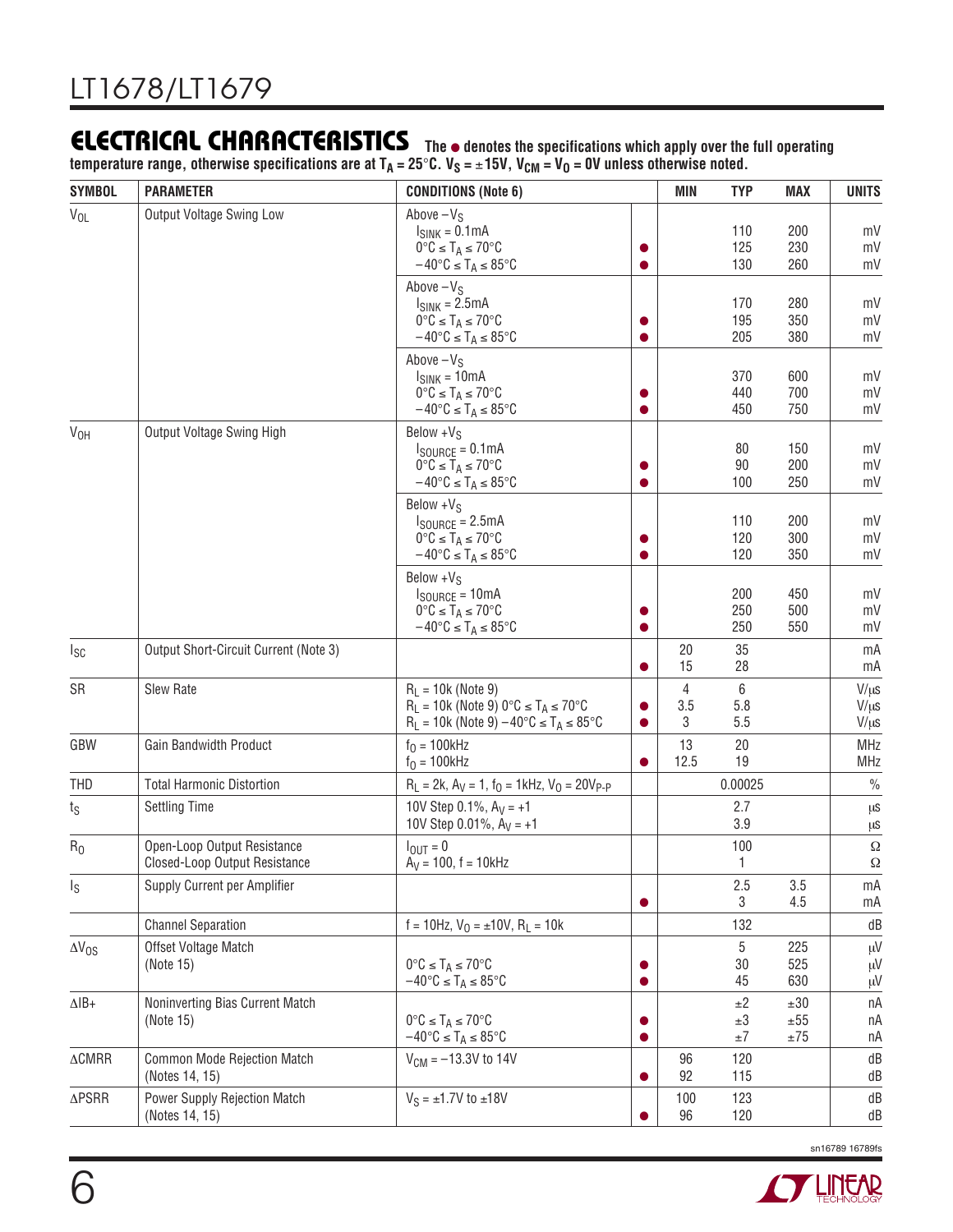**The** ● **denotes the specifications which apply over the full operating temperature range, otherwise specifications are at TA = 25**°**C. VS =** ±**15V, VCM = VO = 0V unless otherwise noted.**

| <b>SYMBOL</b>             | <b>PARAMETER</b>                                             | <b>CONDITIONS (Note 6)</b>                                                                                                                                    |   | MIN           | <b>TYP</b>                    | <b>MAX</b>                  | <b>UNITS</b>                        |
|---------------------------|--------------------------------------------------------------|---------------------------------------------------------------------------------------------------------------------------------------------------------------|---|---------------|-------------------------------|-----------------------------|-------------------------------------|
| $V_{OL}$                  | Output Voltage Swing Low                                     | Above $-VS$<br>$I_{SINK} = 0.1mA$<br>$0^{\circ}C \leq T_A \leq 70^{\circ}C$<br>$-40^{\circ}C \leq T_A \leq 85^{\circ}C$                                       |   |               | 110<br>125<br>130             | 200<br>230<br>260           | mV<br>mV<br>mV                      |
|                           |                                                              | Above $-VS$<br>$I_{SINK} = 2.5mA$<br>$0^{\circ}C \leq T_A \leq 70^{\circ}C$<br>$-40^{\circ}$ C $\leq$ T <sub>A</sub> $\leq$ 85 $^{\circ}$ C                   |   |               | 170<br>195<br>205             | 280<br>350<br>380           | mV<br>mV<br>mV                      |
|                           |                                                              | Above $-VS$<br>$I_{SINK} = 10mA$<br>$0^{\circ}C \leq T_A \leq 70^{\circ}C$<br>$-40^{\circ}C \leq T_A \leq 85^{\circ}C$                                        |   |               | 370<br>440<br>450             | 600<br>700<br>750           | mV<br>mV<br>mV                      |
| V <sub>OH</sub>           | Output Voltage Swing High                                    | Below $+V_S$<br>$I_{\text{SOURCE}} = 0.1 \text{mA}$<br>$0^{\circ}C \leq T_A \leq 70^{\circ}C$<br>$-40^{\circ}C \leq T_A \leq 85^{\circ}C$                     |   |               | 80<br>90<br>100               | 150<br>200<br>250           | mV<br>mV<br>mV                      |
|                           |                                                              | Below $+V_S$<br>$I_{\text{SOURCE}} = 2.5 \text{mA}$<br>$0^{\circ}C \leq T_A \leq 70^{\circ}C$<br>$-40^{\circ}$ C $\leq$ T <sub>A</sub> $\leq$ 85 $^{\circ}$ C |   |               | 110<br>120<br>120             | 200<br>300<br>350           | mV<br>mV<br>mV                      |
|                           |                                                              | Below $+V_S$<br>$I_{\text{SOURCE}} = 10 \text{mA}$<br>$0^{\circ}C \leq T_A \leq 70^{\circ}C$<br>$-40^{\circ}$ C $\leq$ T <sub>A</sub> $\leq$ 85 $^{\circ}$ C  |   |               | 200<br>250<br>250             | 450<br>500<br>550           | mV<br>mV<br>mV                      |
| $I_{SC}$                  | Output Short-Circuit Current (Note 3)                        |                                                                                                                                                               |   | 20<br>15      | 35<br>28                      |                             | mA<br>mA                            |
| SR                        | Slew Rate                                                    | $R_1 = 10k$ (Note 9)<br>$R_L = 10k$ (Note 9) 0°C $\leq T_A \leq 70$ °C<br>$R_L = 10k$ (Note 9) $-40^{\circ}C \leq T_A \leq 85^{\circ}C$                       |   | 4<br>3.5<br>3 | $6\,$<br>5.8<br>5.5           |                             | $V/\mu s$<br>$V/\mu s$<br>$V/\mu s$ |
| GBW                       | Gain Bandwidth Product                                       | $f0 = 100kHz$<br>$f0 = 100kHz$                                                                                                                                |   | 13<br>12.5    | 20<br>19                      |                             | MHz<br><b>MHz</b>                   |
| <b>THD</b>                | <b>Total Harmonic Distortion</b>                             | $R_1 = 2k$ , $A_V = 1$ , $f_Q = 1$ kHz, $V_Q = 20V_{P-P}$                                                                                                     |   |               | 0.00025                       |                             | $\frac{0}{0}$                       |
| ts                        | <b>Settling Time</b>                                         | 10V Step 0.1%, $A_V = +1$<br>10V Step 0.01%, $A_V = +1$                                                                                                       |   |               | 2.7<br>3.9                    |                             | μS<br>μS                            |
| R <sub>0</sub>            | Open-Loop Output Resistance<br>Closed-Loop Output Resistance | $I_{OUT} = 0$<br>$A_V = 100$ , f = 10kHz                                                                                                                      |   |               | 100<br>1                      |                             | $\Omega$<br>$\Omega$                |
| Is                        | Supply Current per Amplifier                                 |                                                                                                                                                               |   |               | 2.5<br>3                      | 3.5<br>4.5                  | mA<br>mA                            |
|                           | <b>Channel Separation</b>                                    | $f = 10$ Hz, $V_0 = \pm 10V$ , $R_1 = 10k$                                                                                                                    |   |               | 132                           |                             | dB                                  |
| $\Delta V_{OS}$           | Offset Voltage Match<br>(Note 15)                            | $0^{\circ}C \leq T_A \leq 70^{\circ}C$<br>$-40^{\circ}C \leq T_A \leq 85^{\circ}C$                                                                            | o |               | 5<br>30<br>45                 | 225<br>525<br>630           | μV<br>$\mu$ V<br>μV                 |
| $\Delta$ IB+              | Noninverting Bias Current Match<br>(Note 15)                 | $0^{\circ}C \leq T_A \leq 70^{\circ}C$<br>$-40^{\circ}C \leq T_A \leq 85^{\circ}C$                                                                            | o |               | $\pm 2$<br>$\pm 3$<br>$\pm 7$ | ±30<br>$\pm 55$<br>$\pm 75$ | пA<br>пA<br>пA                      |
| $\triangle \textsf{CMRR}$ | <b>Common Mode Rejection Match</b><br>(Notes 14, 15)         | $V_{CM} = -13.3V$ to 14V                                                                                                                                      |   | 96<br>92      | 120<br>115                    |                             | dB<br>dB                            |
| $\Delta \mathsf{PSRR}$    | Power Supply Rejection Match<br>(Notes 14, 15)               | $V_S = \pm 1.7V$ to $\pm 18V$                                                                                                                                 |   | 100<br>96     | 123<br>120                    |                             | dB<br>dB                            |

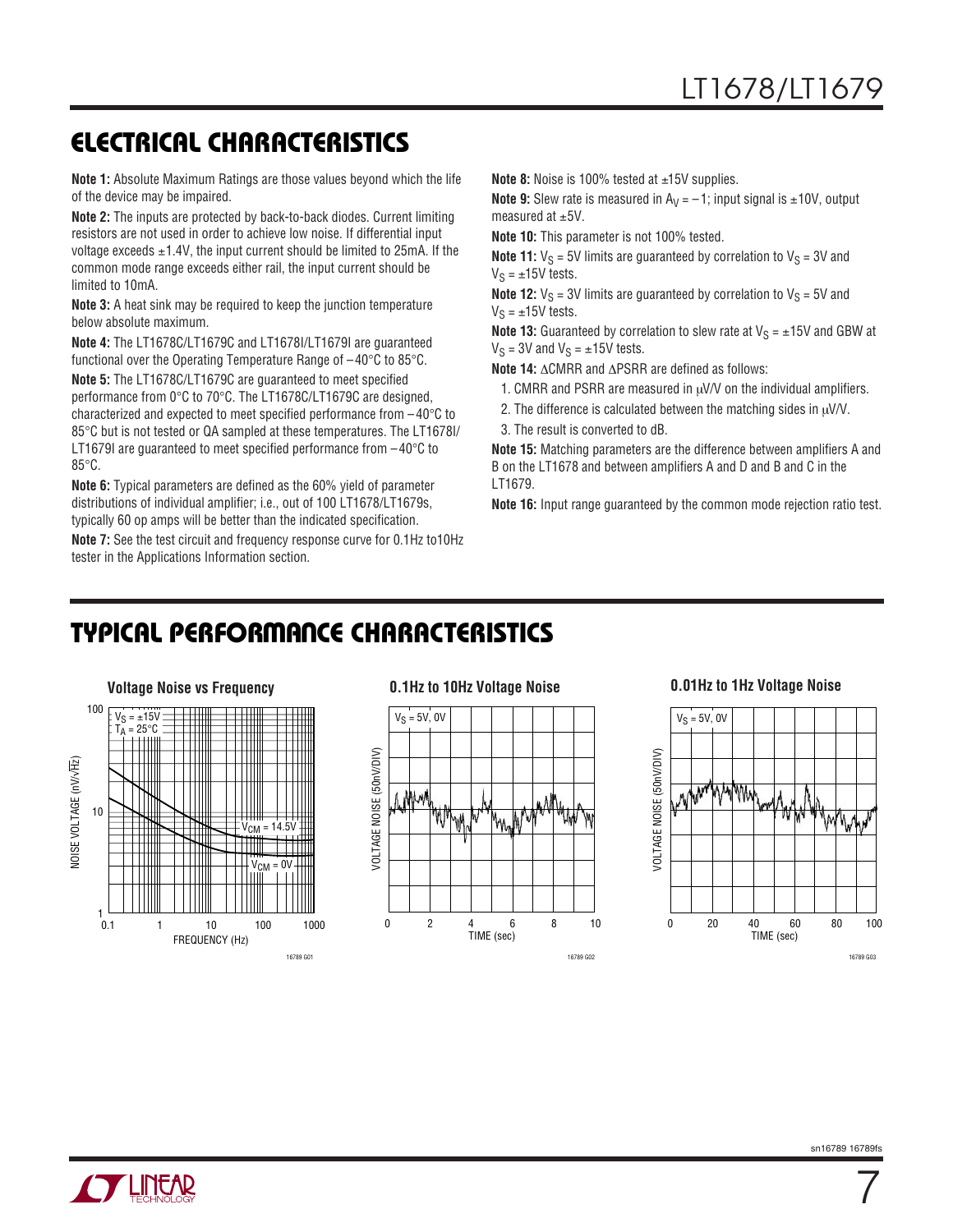**Note 1:** Absolute Maximum Ratings are those values beyond which the life of the device may be impaired.

**Note 2:** The inputs are protected by back-to-back diodes. Current limiting resistors are not used in order to achieve low noise. If differential input voltage exceeds  $\pm$ 1.4V, the input current should be limited to 25mA. If the common mode range exceeds either rail, the input current should be limited to 10mA.

**Note 3:** A heat sink may be required to keep the junction temperature below absolute maximum.

**Note 4:** The LT1678C/LT1679C and LT1678I/LT1679I are guaranteed functional over the Operating Temperature Range of –40°C to 85°C.

**Note 5:** The LT1678C/LT1679C are guaranteed to meet specified performance from 0°C to 70°C. The LT1678C/LT1679C are designed, characterized and expected to meet specified performance from – 40°C to 85°C but is not tested or QA sampled at these temperatures. The LT1678I/ LT1679I are guaranteed to meet specified performance from  $-40^{\circ}$ C to 85°C.

**Note 6:** Typical parameters are defined as the 60% yield of parameter distributions of individual amplifier; i.e., out of 100 LT1678/LT1679s, typically 60 op amps will be better than the indicated specification.

**Note 7:** See the test circuit and frequency response curve for 0.1Hz to10Hz tester in the Applications Information section.

```
Note 8: Noise is 100% tested at ±15V supplies.
```
**Note 9:** Slew rate is measured in  $A_V = -1$ ; input signal is  $\pm 10V$ , output measured at  $\pm$ 5V.

**Note 10:** This parameter is not 100% tested.

**Note 11:**  $V_S = 5V$  limits are guaranteed by correlation to  $V_S = 3V$  and  $V_S = \pm 15V$  tests.

**Note 12:**  $V_S = 3V$  limits are guaranteed by correlation to  $V_S = 5V$  and  $V_S = \pm 15V$  tests.

**Note 13:** Guaranteed by correlation to slew rate at  $V_S = \pm 15V$  and GBW at  $V_S = 3V$  and  $V_S = \pm 15V$  tests.

**Note 14:** ∆CMRR and ∆PSRR are defined as follows:

- 1. CMRR and PSRR are measured in  $\mu$ V/V on the individual amplifiers.
- 2. The difference is calculated between the matching sides in  $\mu$ V/V.
- 3. The result is converted to dB.

**Note 15:** Matching parameters are the difference between amplifiers A and B on the LT1678 and between amplifiers A and D and B and C in the LT1679.

**Note 16:** Input range guaranteed by the common mode rejection ratio test.

# **TYPICAL PERFORMANCE CHARACTERISTICS**







7

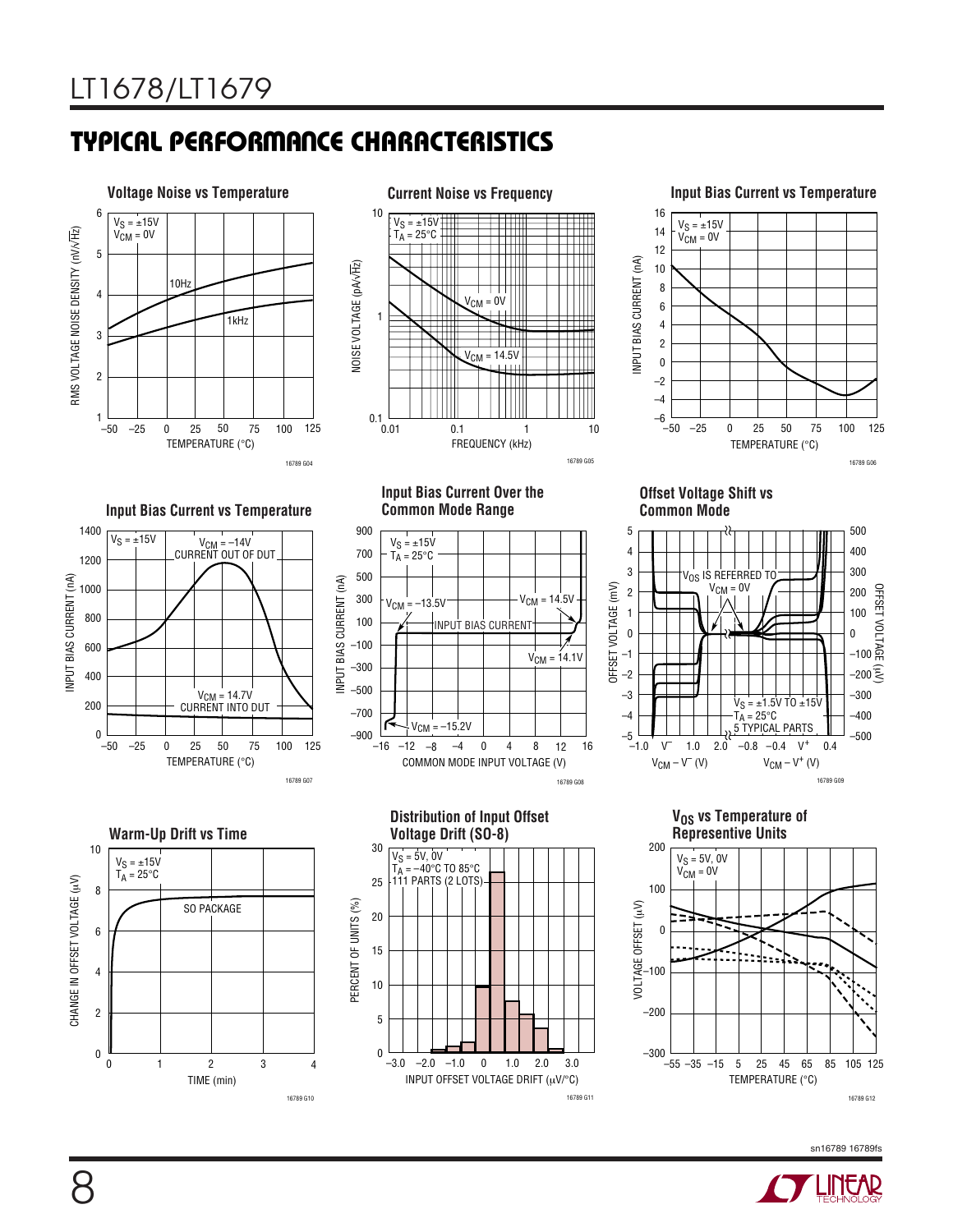# **TYPICAL PERFORMANCE CHARACTERISTICS**



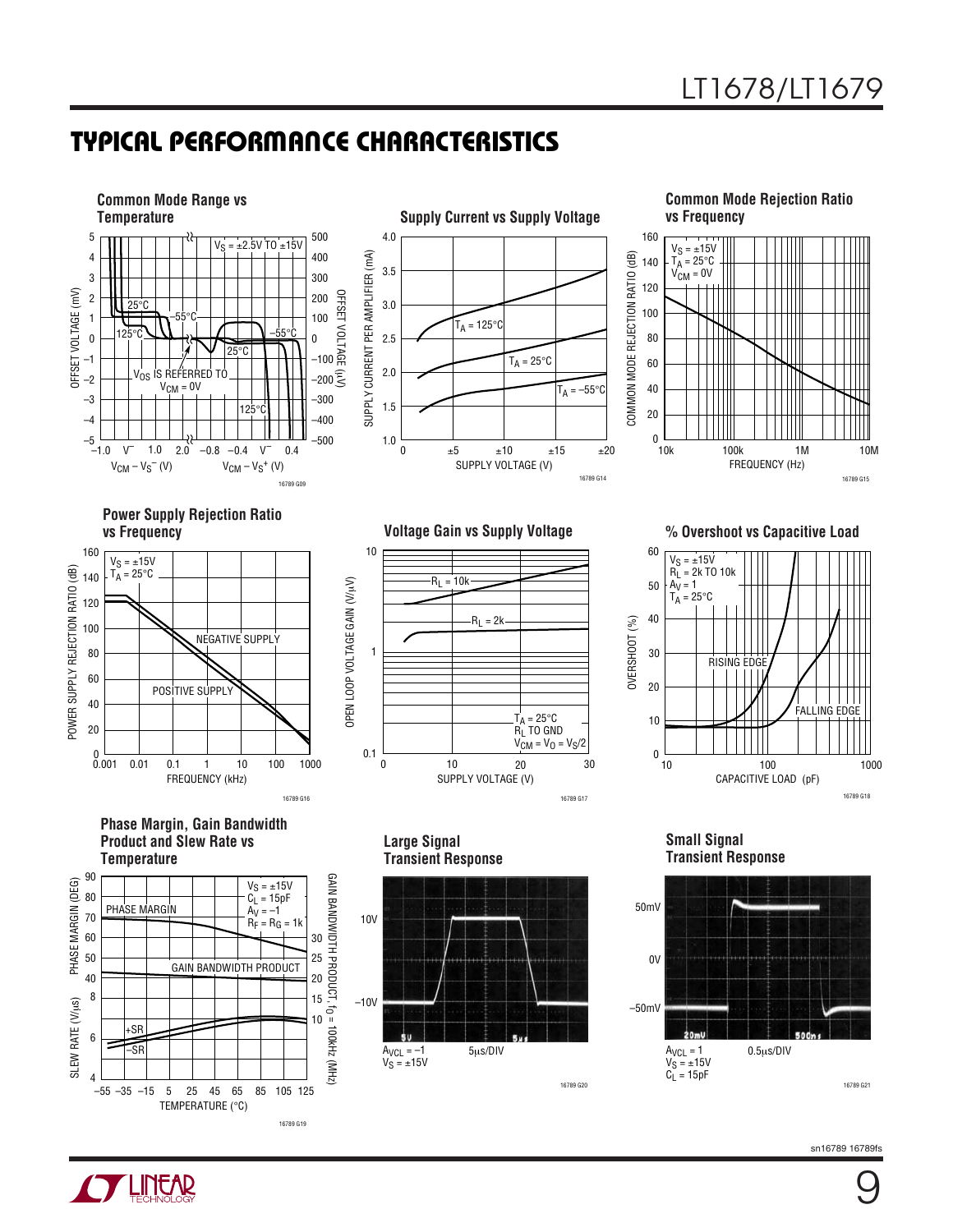## **TYPICAL PERFORMANCE CHARACTERISTICS**



**Y LINEAR** 

9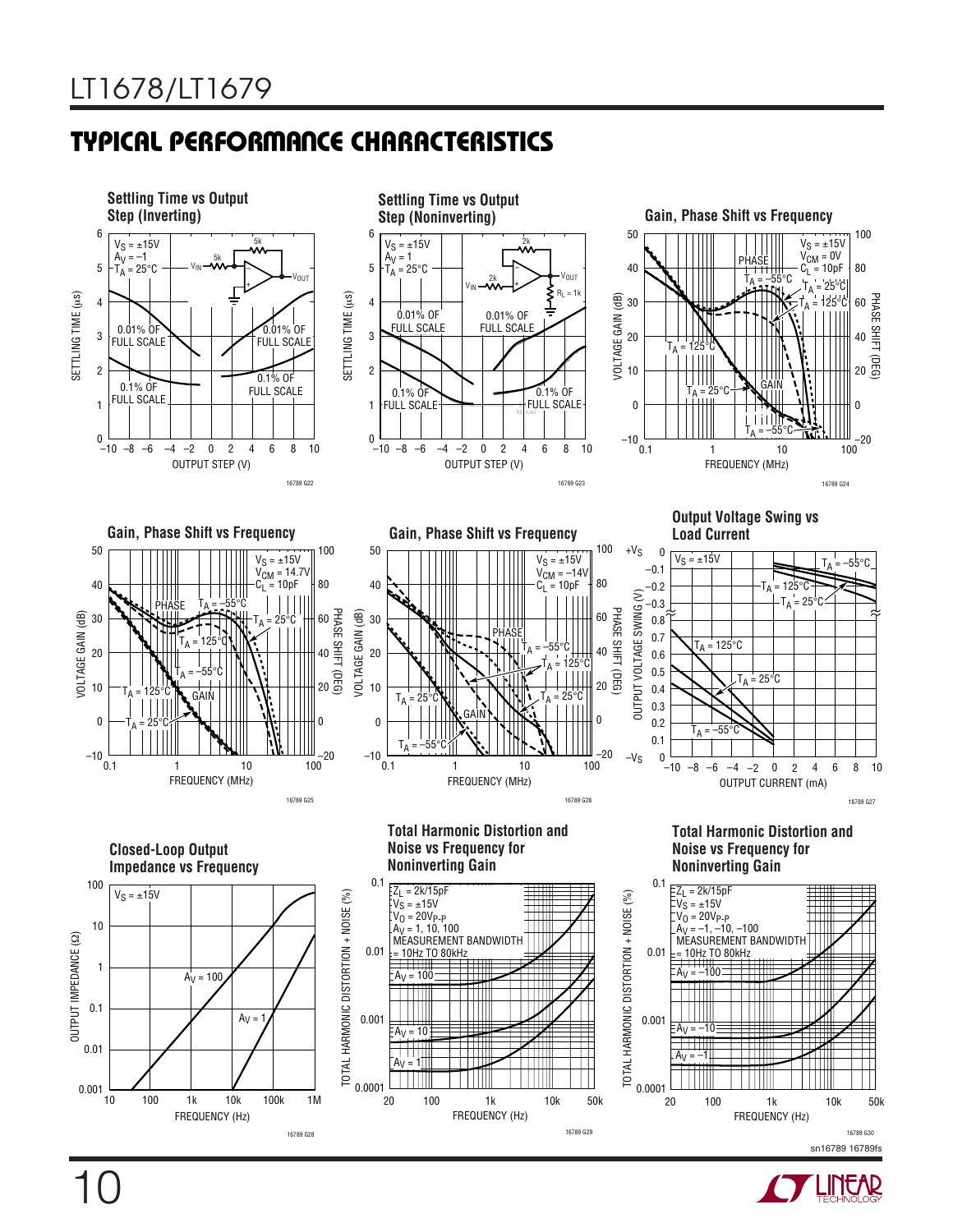10

# **TYPICAL PERFORMANCE CHARACTERISTICS**



sn16789 16789fs 16789 G30

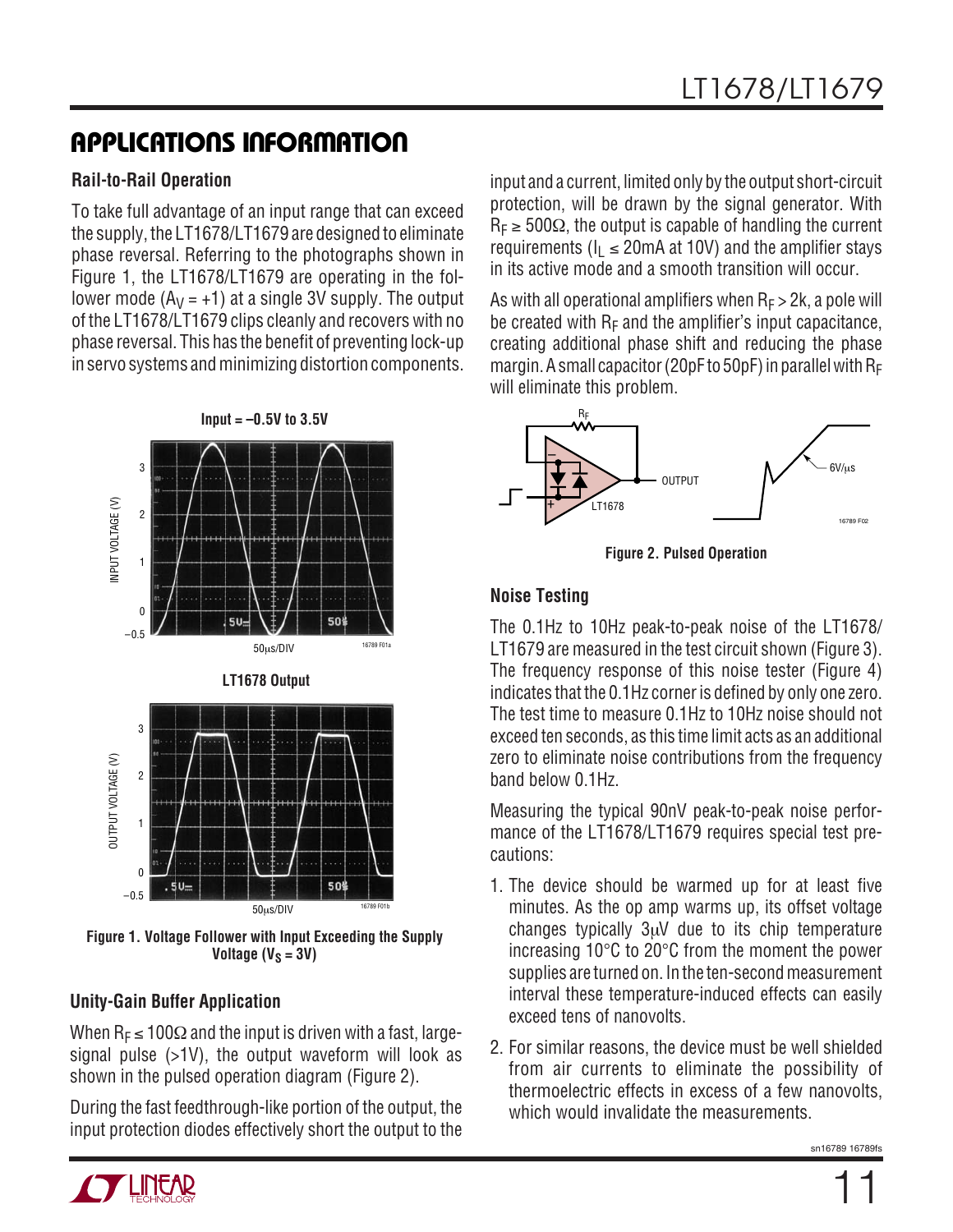# **APPLICATIONS INFORMATION**

#### **Rail-to-Rail Operation**

To take full advantage of an input range that can exceed the supply, the LT1678/LT1679 are designed to eliminate phase reversal. Referring to the photographs shown in Figure 1, the LT1678/LT1679 are operating in the follower mode  $(A_V = +1)$  at a single 3V supply. The output of the LT1678/LT1679 clips cleanly and recovers with no phase reversal. This has the benefit of preventing lock-up in servo systems and minimizing distortion components.



**Figure 1. Voltage Follower with Input Exceeding the Supply** Voltage  $(V_S = 3V)$ 

### **Unity-Gain Buffer Application**

When R<sub>F</sub>  $\leq$  100 $\Omega$  and the input is driven with a fast, largesignal pulse (>1V), the output waveform will look as shown in the pulsed operation diagram (Figure 2).

During the fast feedthrough-like portion of the output, the input protection diodes effectively short the output to the

input and a current, limited only by the output short-circuit protection, will be drawn by the signal generator. With  $R_F \geq 500\Omega$ , the output is capable of handling the current requirements ( $I_1 \le 20$ mA at 10V) and the amplifier stays in its active mode and a smooth transition will occur.

As with all operational amplifiers when  $R_F > 2k$ , a pole will be created with  $R_F$  and the amplifier's input capacitance, creating additional phase shift and reducing the phase margin. A small capacitor (20pF to 50pF) in parallel with  $R_F$ will eliminate this problem.



**Figure 2. Pulsed Operation**

### **Noise Testing**

The 0.1Hz to 10Hz peak-to-peak noise of the LT1678/ LT1679 are measured in the test circuit shown (Figure 3). The frequency response of this noise tester (Figure 4) indicates that the 0.1Hz corner is defined by only one zero. The test time to measure 0.1Hz to 10Hz noise should not exceed ten seconds, as this time limit acts as an additional zero to eliminate noise contributions from the frequency band below 0.1Hz.

Measuring the typical 90nV peak-to-peak noise performance of the LT1678/LT1679 requires special test precautions:

- 1. The device should be warmed up for at least five minutes. As the op amp warms up, its offset voltage changes typically 3µV due to its chip temperature increasing 10°C to 20°C from the moment the power supplies are turned on. In the ten-second measurement interval these temperature-induced effects can easily exceed tens of nanovolts.
- 2. For similar reasons, the device must be well shielded from air currents to eliminate the possibility of thermoelectric effects in excess of a few nanovolts, which would invalidate the measurements.

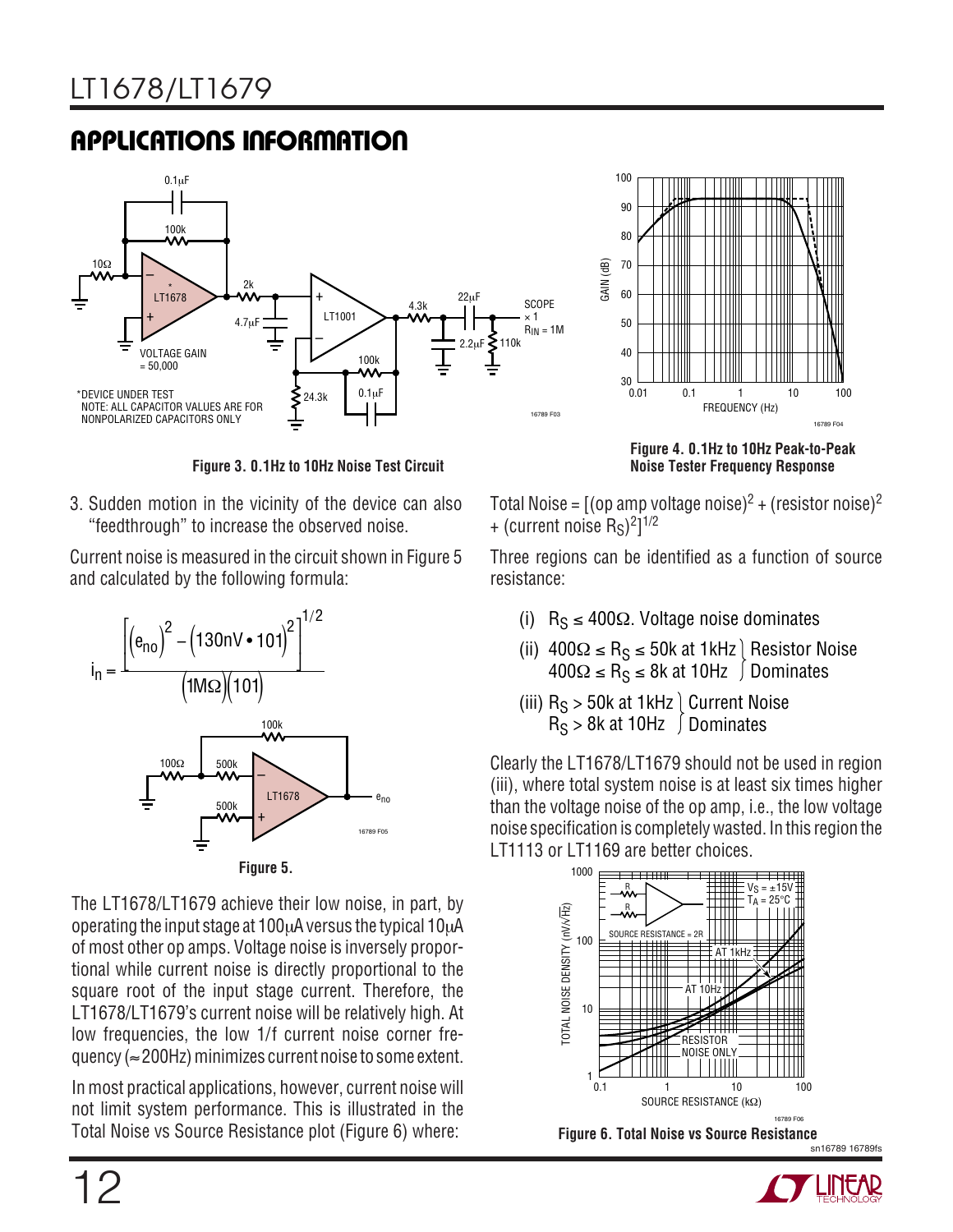# **APPLICATIONS INFORMATION**



**Figure 3. 0.1Hz to 10Hz Noise Test Circuit**

3. Sudden motion in the vicinity of the device can also "feedthrough" to increase the observed noise.

Current noise is measured in the circuit shown in Figure 5 and calculated by the following formula:



**Figure 5.**

The LT1678/LT1679 achieve their low noise, in part, by operating the input stage at 100µA versus the typical 10µA of most other op amps. Voltage noise is inversely proportional while current noise is directly proportional to the square root of the input stage current. Therefore, the LT1678/LT1679's current noise will be relatively high. At low frequencies, the low 1/f current noise corner frequency (≈200Hz) minimizes current noise to some extent.

In most practical applications, however, current noise will not limit system performance. This is illustrated in the Total Noise vs Source Resistance plot (Figure 6) where:



**Figure 4. 0.1Hz to 10Hz Peak-to-Peak Noise Tester Frequency Response**

Total Noise =  $[(op \, amp \, voltage \, noise)^2 + (resistor \, noise)^2]$ + (current noise  $R_S$ )<sup>2</sup>]<sup>1/2</sup>

Three regions can be identified as a function of source resistance:

- (i)  $R_S \le 400\Omega$ . Voltage noise dominates
- (ii) 400Ω ≤ R<sub>S</sub> ≤ 50k at 1kHz 400Ω ≤ R<sub>S</sub> ≤ 8k at 10Hz Resistor Noise Dominates
- (iii) R<sub>S</sub> > 50k at 1kHz R<sub>S</sub> > 8k at 10Hz Current Noise Dominates

Clearly the LT1678/LT1679 should not be used in region (iii), where total system noise is at least six times higher than the voltage noise of the op amp, i.e., the low voltage noise specification is completely wasted. In this region the LT1113 or LT1169 are better choices.

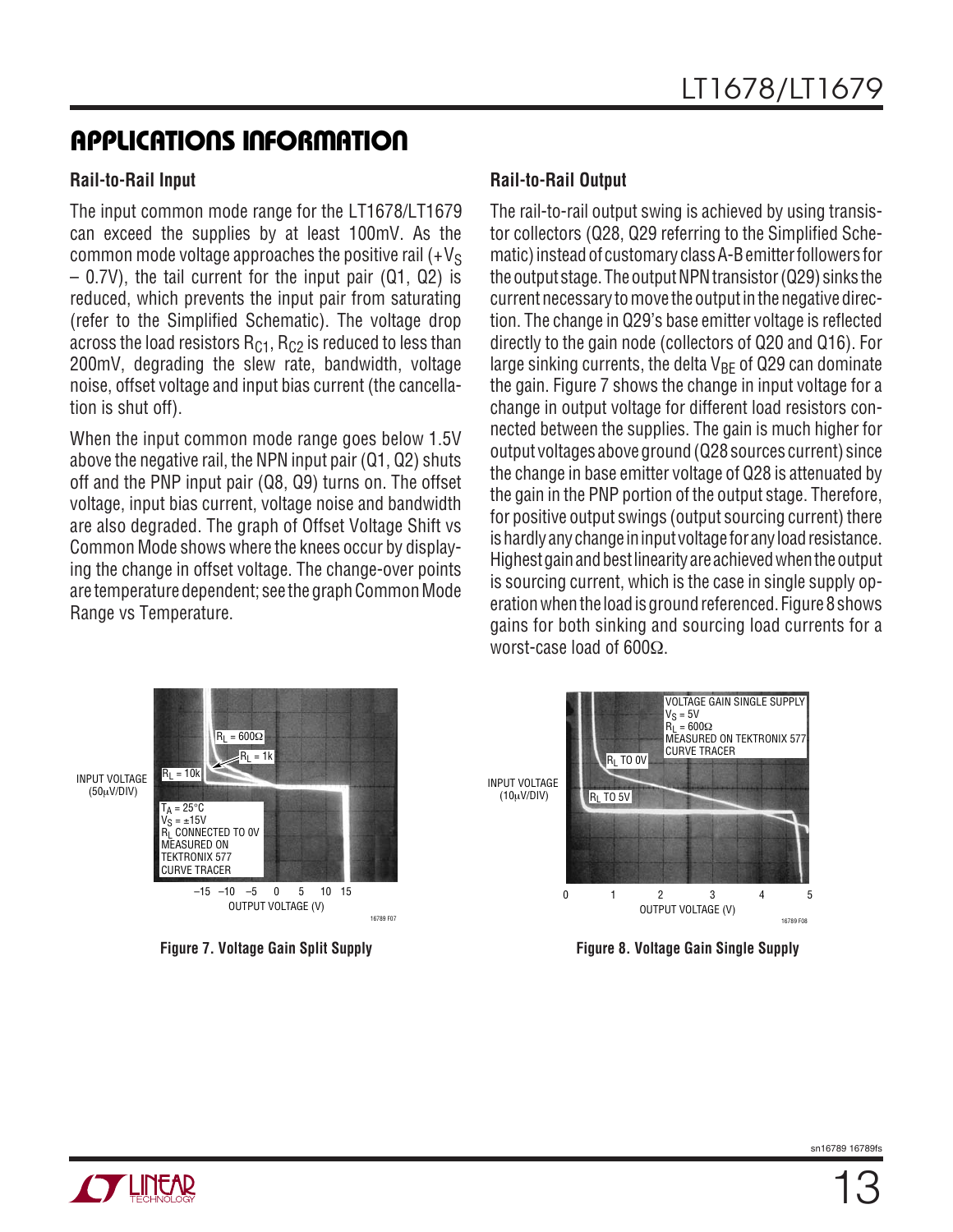# **APPLICATIONS INFORMATION**

#### **Rail-to-Rail Input**

The input common mode range for the LT1678/LT1679 can exceed the supplies by at least 100mV. As the common mode voltage approaches the positive rail  $(+V_S)$ – 0.7V), the tail current for the input pair (Q1, Q2) is reduced, which prevents the input pair from saturating (refer to the Simplified Schematic). The voltage drop across the load resistors  $R_{C1}$ ,  $R_{C2}$  is reduced to less than 200mV, degrading the slew rate, bandwidth, voltage noise, offset voltage and input bias current (the cancellation is shut off).

When the input common mode range goes below 1.5V above the negative rail, the NPN input pair (Q1, Q2) shuts off and the PNP input pair (Q8, Q9) turns on. The offset voltage, input bias current, voltage noise and bandwidth are also degraded. The graph of Offset Voltage Shift vs Common Mode shows where the knees occur by displaying the change in offset voltage. The change-over points are temperature dependent; see the graph Common Mode Range vs Temperature.

#### **Rail-to-Rail Output**

The rail-to-rail output swing is achieved by using transistor collectors (Q28, Q29 referring to the Simplified Schematic) instead of customary class A-B emitter followers for the output stage. The output NPN transistor (Q29) sinks the current necessary to move the output in the negative direction. The change in Q29's base emitter voltage is reflected directly to the gain node (collectors of Q20 and Q16). For large sinking currents, the delta  $V_{BF}$  of Q29 can dominate the gain. Figure 7 shows the change in input voltage for a change in output voltage for different load resistors connected between the supplies. The gain is much higher for output voltages above ground (Q28 sources current) since the change in base emitter voltage of Q28 is attenuated by the gain in the PNP portion of the output stage. Therefore, for positive output swings (output sourcing current) there is hardly any change in input voltage for any load resistance. Highest gain and best linearity are achieved when the output is sourcing current, which is the case in single supply operation when the load is ground referenced. Figure 8 shows gains for both sinking and sourcing load currents for a worst-case load of 600Ω.





**Figure 7. Voltage Gain Split Supply Figure 8. Voltage Gain Single Supply**

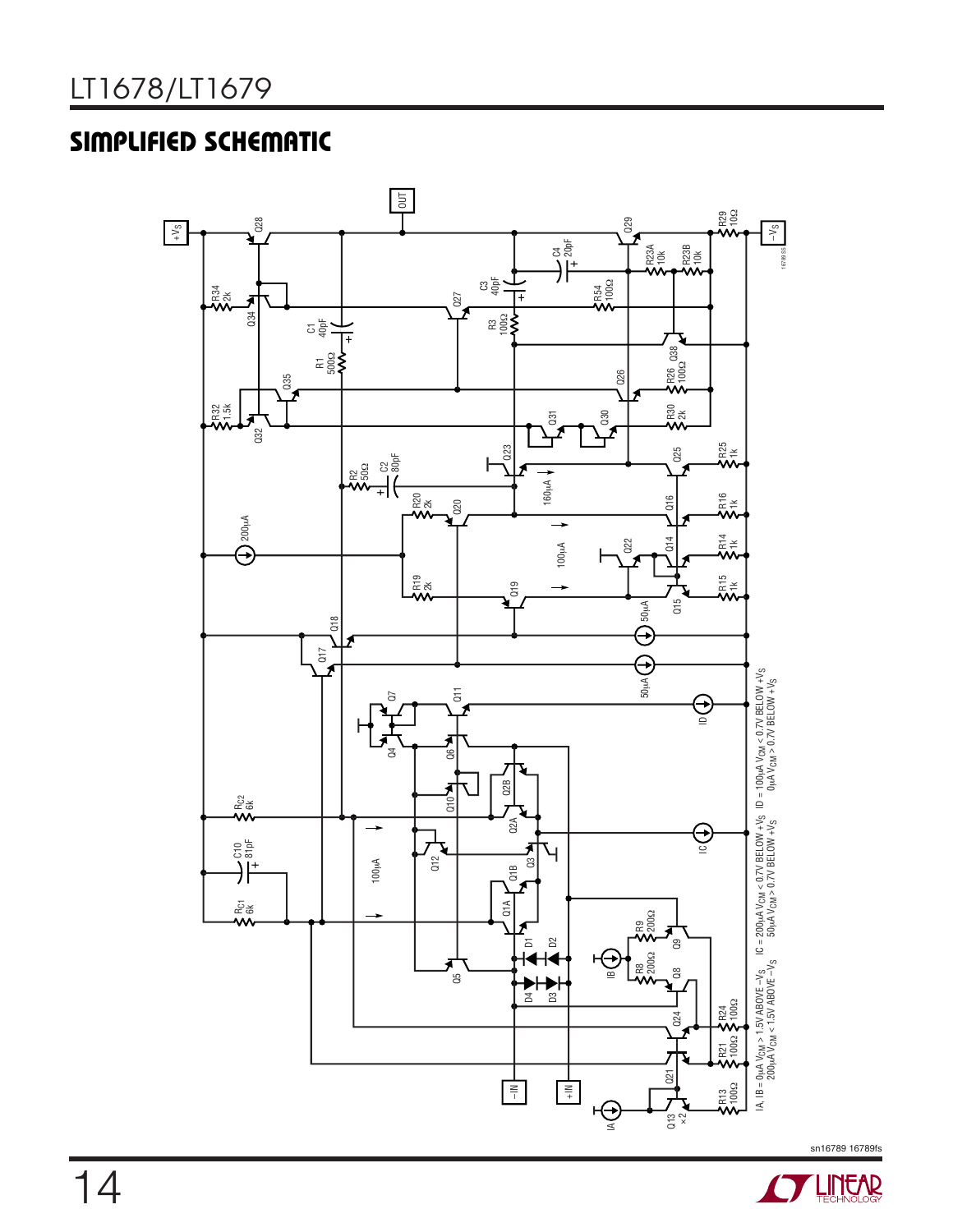# **SIMPLIFIED SCHEMATIC**



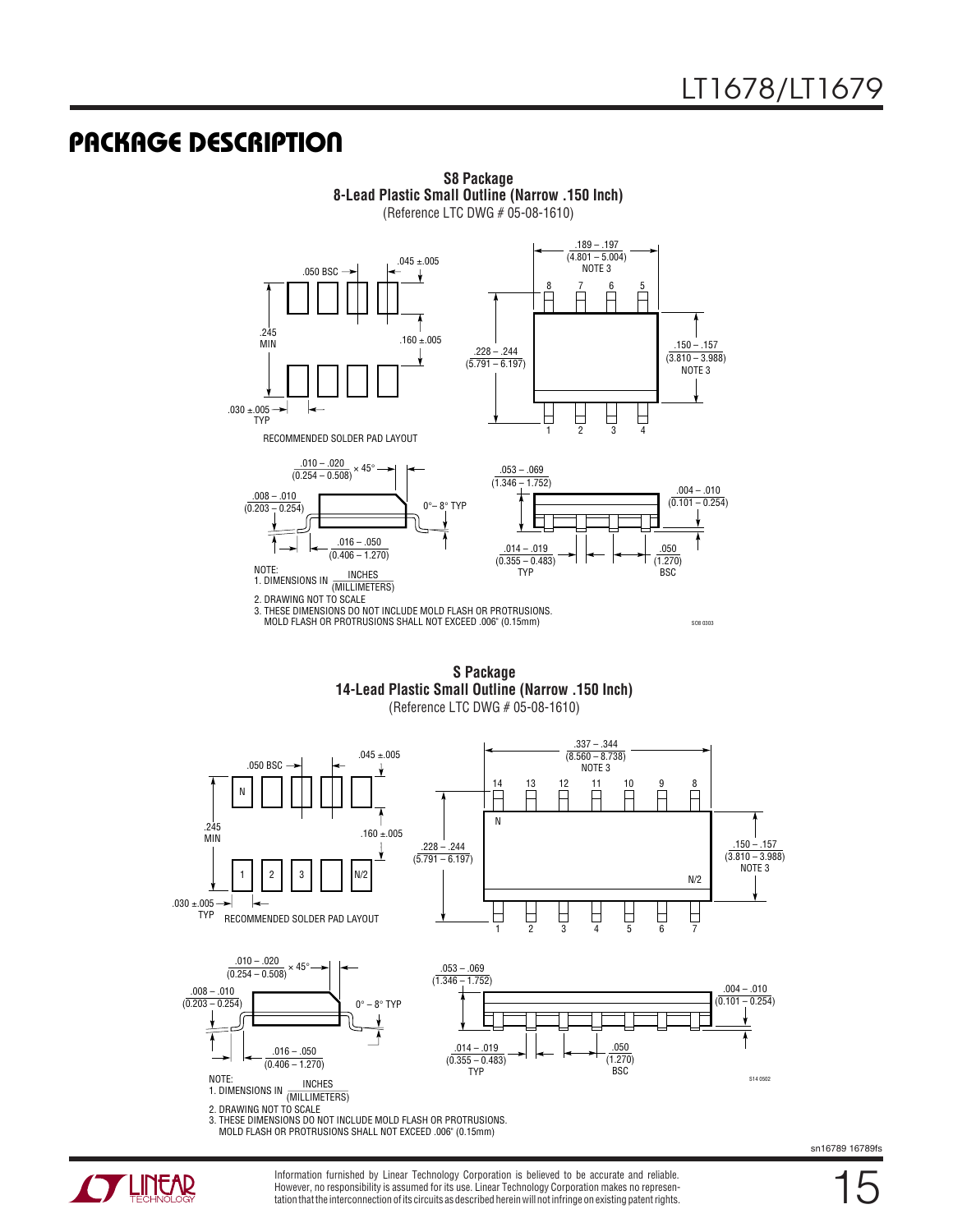## **U PACKAGE DESCRIPTIO**



**S8 Package 8-Lead Plastic Small Outline (Narrow .150 Inch)** (Reference LTC DWG # 05-08-1610)

**S Package 14-Lead Plastic Small Outline (Narrow .150 Inch)** (Reference LTC DWG # 05-08-1610)

.337 – .344  $.045 \pm .005$  $(8.560 - 8.738)$ .050 BSC NOTE 3  $\frac{1}{\sqrt{2}}$ 8 14 13 12 11 10 9 N F Ħ F N 245  $.160 \pm .005$ MIN .150 – .157  $.228 - .244$  $(\overline{5.791} - 6.197)$ (3.810 – 3.988) NOTE 3 1 2 3 N/2 N/2  $.030 \pm .005$ 5 6 7  $\begin{array}{ccc} \square & \square & \square \\ \square & \square & \square \\ \square & \square & \square \end{array}$  TYP  $\frac{1}{1}$ 目 RECOMMENDED SOLDER PAD LAYOUT  $.010 - .020$  $\frac{.010 - .020}{(0.254 - 0.508)}$  × 45°  $.053 - .069$  $(\overline{1.346 - 1.752})$ .004 – .010  $.008 - .010$  $(0.101 - 0.254)$  $(0.203 - 0.254)$  $0^\circ - 8^\circ$  TYP  $.014 - .019$ .050  $.016 - .050$  $(0.355 - 0.483)$  $(1.270)$  $(0.406 - 1.270)$ TYP BSC

sn16789 16789fs

S14 0502



Information furnished by Linear Technology Corporation is believed to be accurate and reliable. However, no responsibility is assumed for its use. Linear Technology Corporation makes no representation that the interconnection of its circuits as described herein will not infringe on existing patent rights.

INCHES

3. THESE DIMENSIONS DO NOT INCLUDE MOLD FLASH OR PROTRUSIONS. MOLD FLASH OR PROTRUSIONS SHALL NOT EXCEED .006" (0.15mm)

1. DIMENSIONS IN **MILLIMETERS** 

2. DRAWING NOT TO SCALE

NOTE: